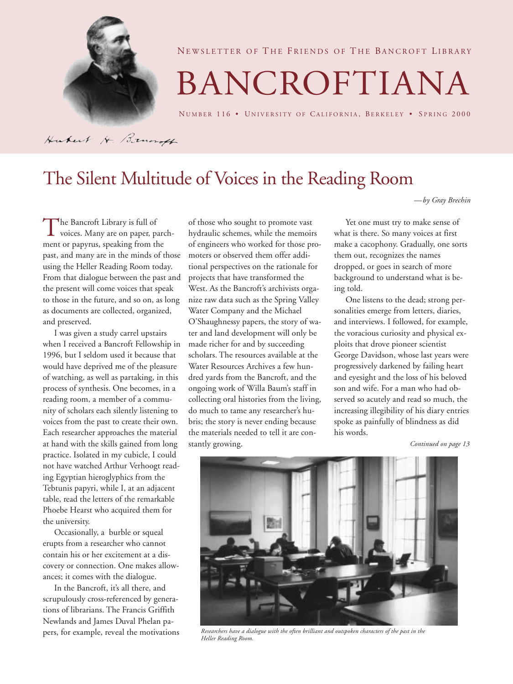

NEWSLETTER OF THE FRIENDS OF THE BANCROFT LIBRARY

# BANCROFTIANA

NUMBER 116 · UNIVERSITY OF CALIFORNIA, BERKELEY · SPRING 2000

Hubert H. Brundt

## The Silent Multitude of Voices in the Reading Room

*—by Gray Brechin*

The Bancroft Library is full of<br>voices. Many are on paper, p<br>ment or papyrus, speaking from t voices. Many are on paper, parchment or papyrus, speaking from the past, and many are in the minds of those using the Heller Reading Room today. From that dialogue between the past and the present will come voices that speak to those in the future, and so on, as long as documents are collected, organized, and preserved.

I was given a study carrel upstairs when I received a Bancroft Fellowship in 1996, but I seldom used it because that would have deprived me of the pleasure of watching, as well as partaking, in this process of synthesis. One becomes, in a reading room, a member of a community of scholars each silently listening to voices from the past to create their own. Each researcher approaches the material at hand with the skills gained from long practice. Isolated in my cubicle, I could not have watched Arthur Verhoogt reading Egyptian hieroglyphics from the Tebtunis papyri, while I, at an adjacent table, read the letters of the remarkable Phoebe Hearst who acquired them for the university.

Occasionally, a burble or squeal erupts from a researcher who cannot contain his or her excitement at a discovery or connection. One makes allowances; it comes with the dialogue.

In the Bancroft, it's all there, and scrupulously cross-referenced by generations of librarians. The Francis Griffith Newlands and James Duval Phelan papers, for example, reveal the motivations of those who sought to promote vast hydraulic schemes, while the memoirs of engineers who worked for those promoters or observed them offer additional perspectives on the rationale for projects that have transformed the West. As the Bancroft's archivists organize raw data such as the Spring Valley Water Company and the Michael O'Shaughnessy papers, the story of water and land development will only be made richer for and by succeeding scholars. The resources available at the Water Resources Archives a few hundred yards from the Bancroft, and the ongoing work of Willa Baum's staff in collecting oral histories from the living, do much to tame any researcher's hubris; the story is never ending because the materials needed to tell it are constantly growing.

Yet one must try to make sense of what is there. So many voices at first make a cacophony. Gradually, one sorts them out, recognizes the names dropped, or goes in search of more background to understand what is being told.

One listens to the dead; strong personalities emerge from letters, diaries, and interviews. I followed, for example, the voracious curiosity and physical exploits that drove pioneer scientist George Davidson, whose last years were progressively darkened by failing heart and eyesight and the loss of his beloved son and wife. For a man who had observed so acutely and read so much, the increasing illegibility of his diary entries spoke as painfully of blindness as did his words.

*Continued on page 13*



*Researchers have a dialogue with the often brilliant and outspoken characters of the past in the Heller Reading Room.*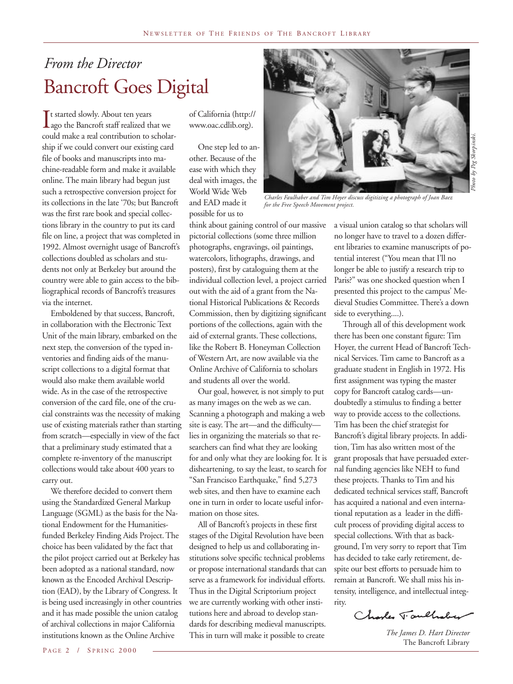## *From the Director* Bancroft Goes Digital

 $\prod_{\infty}$ It started slowly. About ten years ago the Bancroft staff realized that we could make a real contribution to scholarship if we could convert our existing card file of books and manuscripts into machine-readable form and make it available online. The main library had begun just such a retrospective conversion project for its collections in the late '70s; but Bancroft was the first rare book and special collections library in the country to put its card file on line, a project that was completed in 1992. Almost overnight usage of Bancroft's collections doubled as scholars and students not only at Berkeley but around the country were able to gain access to the bibliographical records of Bancroft's treasures via the internet.

Emboldened by that success, Bancroft, in collaboration with the Electronic Text Unit of the main library, embarked on the next step, the conversion of the typed inventories and finding aids of the manuscript collections to a digital format that would also make them available world wide. As in the case of the retrospective conversion of the card file, one of the crucial constraints was the necessity of making use of existing materials rather than starting from scratch—especially in view of the fact that a preliminary study estimated that a complete re-inventory of the manuscript collections would take about 400 years to carry out.

We therefore decided to convert them using the Standardized General Markup Language (SGML) as the basis for the National Endowment for the Humanitiesfunded Berkeley Finding Aids Project. The choice has been validated by the fact that the pilot project carried out at Berkeley has been adopted as a national standard, now known as the Encoded Archival Description (EAD), by the Library of Congress. It is being used increasingly in other countries and it has made possible the union catalog of archival collections in major California institutions known as the Online Archive

of California (http:// www.oac.cdlib.org).

One step led to another. Because of the ease with which they deal with images, the World Wide Web and EAD made it possible for us to



*Charles Faulhaber and Tim Hoyer discuss digitizing a photograph of Joan Baez for the Free Speech Movement project.*

think about gaining control of our massive pictorial collections (some three million photographs, engravings, oil paintings, watercolors, lithographs, drawings, and posters), first by cataloguing them at the individual collection level, a project carried out with the aid of a grant from the National Historical Publications & Records Commission, then by digitizing significant portions of the collections, again with the aid of external grants. These collections, like the Robert B. Honeyman Collection of Western Art, are now available via the Online Archive of California to scholars and students all over the world.

Our goal, however, is not simply to put as many images on the web as we can. Scanning a photograph and making a web site is easy. The art—and the difficulty lies in organizing the materials so that researchers can find what they are looking for and only what they are looking for. It is disheartening, to say the least, to search for "San Francisco Earthquake," find 5,273 web sites, and then have to examine each one in turn in order to locate useful information on those sites.

All of Bancroft's projects in these first stages of the Digital Revolution have been designed to help us and collaborating institutions solve specific technical problems or propose international standards that can serve as a framework for individual efforts. Thus in the Digital Scriptorium project we are currently working with other institutions here and abroad to develop standards for describing medieval manuscripts. This in turn will make it possible to create

a visual union catalog so that scholars will no longer have to travel to a dozen different libraries to examine manuscripts of potential interest ("You mean that I'll no longer be able to justify a research trip to Paris?" was one shocked question when I presented this project to the campus' Medieval Studies Committee. There's a down side to everything....).

Through all of this development work there has been one constant figure: Tim Hoyer, the current Head of Bancroft Technical Services. Tim came to Bancroft as a graduate student in English in 1972. His first assignment was typing the master copy for Bancroft catalog cards—undoubtedly a stimulus to finding a better way to provide access to the collections. Tim has been the chief strategist for Bancroft's digital library projects. In addition, Tim has also written most of the grant proposals that have persuaded external funding agencies like NEH to fund these projects. Thanks to Tim and his dedicated technical services staff, Bancroft has acquired a national and even international reputation as a leader in the difficult process of providing digital access to special collections. With that as background, I'm very sorry to report that Tim has decided to take early retirement, despite our best efforts to persuade him to remain at Bancroft. We shall miss his intensity, intelligence, and intellectual integrity.

Charles T. aulhaber

*The James D. Hart Director* The Bancroft Library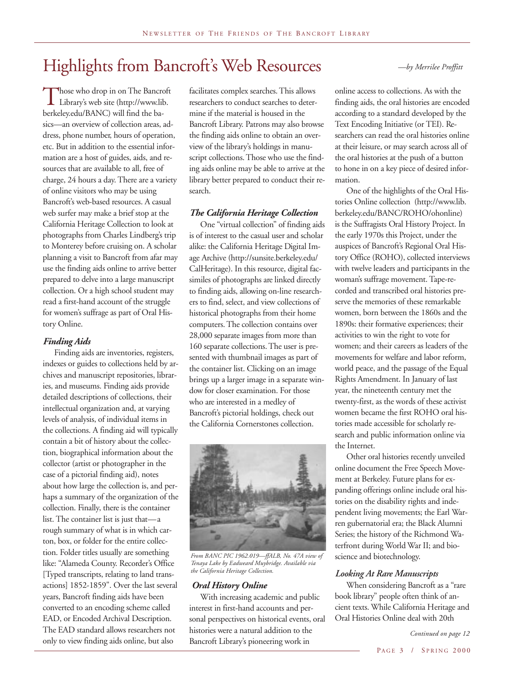## Highlights from Bancroft's Web Resources

Those who drop in on The Bancroft<br>Library's web site (http://www.lib.<br>herkelev.edu/BANC) will find the ba-Library's web site (http://www.lib. berkeley.edu/BANC) will find the basics—an overview of collection areas, address, phone number, hours of operation, etc. But in addition to the essential information are a host of guides, aids, and resources that are available to all, free of charge, 24 hours a day. There are a variety of online visitors who may be using Bancroft's web-based resources. A casual web surfer may make a brief stop at the California Heritage Collection to look at photographs from Charles Lindberg's trip to Monterey before cruising on. A scholar planning a visit to Bancroft from afar may use the finding aids online to arrive better prepared to delve into a large manuscript collection. Or a high school student may read a first-hand account of the struggle for women's suffrage as part of Oral History Online.

## *Finding Aids*

Finding aids are inventories, registers, indexes or guides to collections held by archives and manuscript repositories, libraries, and museums. Finding aids provide detailed descriptions of collections, their intellectual organization and, at varying levels of analysis, of individual items in the collections. A finding aid will typically contain a bit of history about the collection, biographical information about the collector (artist or photographer in the case of a pictorial finding aid), notes about how large the collection is, and perhaps a summary of the organization of the collection. Finally, there is the container list. The container list is just that—a rough summary of what is in which carton, box, or folder for the entire collection. Folder titles usually are something like: "Alameda County. Recorder's Office [Typed transcripts, relating to land transactions] 1852-1859". Over the last several years, Bancroft finding aids have been converted to an encoding scheme called EAD, or Encoded Archival Description. The EAD standard allows researchers not only to view finding aids online, but also

facilitates complex searches. This allows researchers to conduct searches to determine if the material is housed in the Bancroft Library. Patrons may also browse the finding aids online to obtain an overview of the library's holdings in manuscript collections. Those who use the finding aids online may be able to arrive at the library better prepared to conduct their research.

#### *The California Heritage Collection*

One "virtual collection" of finding aids is of interest to the casual user and scholar alike: the California Heritage Digital Image Archive (http://sunsite.berkeley.edu/ CalHeritage). In this resource, digital facsimiles of photographs are linked directly to finding aids, allowing on-line researchers to find, select, and view collections of historical photographs from their home computers. The collection contains over 28,000 separate images from more than 160 separate collections. The user is presented with thumbnail images as part of the container list. Clicking on an image brings up a larger image in a separate window for closer examination. For those who are interested in a medley of Bancroft's pictorial holdings, check out the California Cornerstones collection.



*From BANC PIC 1962.019—ffALB, No. 47A view of Tenaya Lake by Eadweard Muybridge. Available via the California Heritage Collection.*

#### *Oral History Online*

With increasing academic and public interest in first-hand accounts and personal perspectives on historical events, oral histories were a natural addition to the Bancroft Library's pioneering work in

online access to collections. As with the finding aids, the oral histories are encoded according to a standard developed by the Text Encoding Initiative (or TEI). Researchers can read the oral histories online at their leisure, or may search across all of the oral histories at the push of a button to hone in on a key piece of desired information.

One of the highlights of the Oral Histories Online collection (http://www.lib. berkeley.edu/BANC/ROHO/ohonline) is the Suffragists Oral History Project. In the early 1970s this Project, under the auspices of Bancroft's Regional Oral History Office (ROHO), collected interviews with twelve leaders and participants in the woman's suffrage movement. Tape-recorded and transcribed oral histories preserve the memories of these remarkable women, born between the 1860s and the 1890s: their formative experiences; their activities to win the right to vote for women; and their careers as leaders of the movements for welfare and labor reform, world peace, and the passage of the Equal Rights Amendment. In January of last year, the nineteenth century met the twenty-first, as the words of these activist women became the first ROHO oral histories made accessible for scholarly research and public information online via the Internet.

Other oral histories recently unveiled online document the Free Speech Movement at Berkeley. Future plans for expanding offerings online include oral histories on the disability rights and independent living movements; the Earl Warren gubernatorial era; the Black Alumni Series; the history of the Richmond Waterfront during World War II; and bioscience and biotechnology.

#### *Looking At Rare Manuscripts*

When considering Bancroft as a "rare book library" people often think of ancient texts. While California Heritage and Oral Histories Online deal with 20th

#### *—by Merrilee Proffitt*

*Continued on page 12*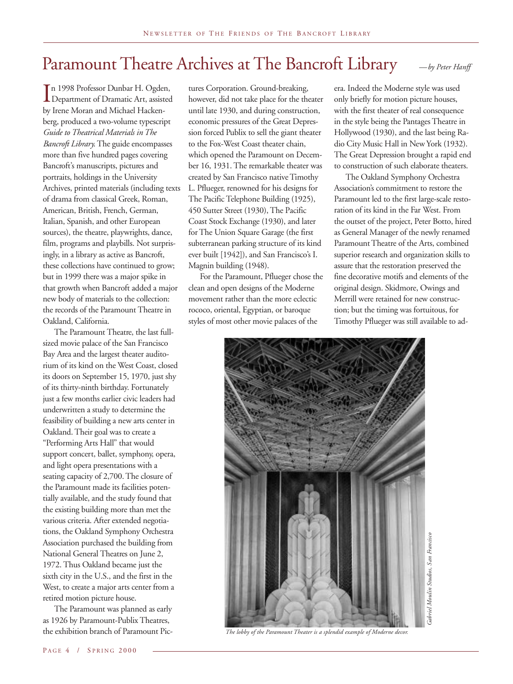## Paramount Theatre Archives at The Bancroft Library  $_{\text{A}}$   $_{\text{A}}$   $_{\text{B}}$   $_{\text{B}}$   $_{\text{B}}$   $_{\text{B}}$   $_{\text{B}}$   $_{\text{B}}$   $_{\text{B}}$   $_{\text{B}}$   $_{\text{B}}$   $_{\text{B}}$   $_{\text{B}}$   $_{\text{B}}$   $_{\text{B}}$   $_{\text{B}}$   $_{\text{B}}$   $_{\text{B}}$   $_{\text{B}}$

 $\prod_{\text{bv}}$ n 1998 Professor Dunbar H. Ogden, Department of Dramatic Art, assisted by Irene Moran and Michael Hackenberg, produced a two-volume typescript *Guide to Theatrical Materials in The Bancroft Library*. The guide encompasses more than five hundred pages covering Bancroft's manuscripts, pictures and portraits, holdings in the University Archives, printed materials (including texts of drama from classical Greek, Roman, American, British, French, German, Italian, Spanish, and other European sources), the theatre, playwrights, dance, film, programs and playbills. Not surprisingly, in a library as active as Bancroft, these collections have continued to grow; but in 1999 there was a major spike in that growth when Bancroft added a major new body of materials to the collection: the records of the Paramount Theatre in Oakland, California.

The Paramount Theatre, the last fullsized movie palace of the San Francisco Bay Area and the largest theater auditorium of its kind on the West Coast, closed its doors on September 15, 1970, just shy of its thirty-ninth birthday. Fortunately just a few months earlier civic leaders had underwritten a study to determine the feasibility of building a new arts center in Oakland. Their goal was to create a "Performing Arts Hall" that would support concert, ballet, symphony, opera, and light opera presentations with a seating capacity of 2,700. The closure of the Paramount made its facilities potentially available, and the study found that the existing building more than met the various criteria. After extended negotiations, the Oakland Symphony Orchestra Association purchased the building from National General Theatres on June 2, 1972. Thus Oakland became just the sixth city in the U.S., and the first in the West, to create a major arts center from a retired motion picture house.

The Paramount was planned as early as 1926 by Paramount-Publix Theatres, the exhibition branch of Paramount Pictures Corporation. Ground-breaking, however, did not take place for the theater until late 1930, and during construction, economic pressures of the Great Depression forced Publix to sell the giant theater to the Fox-West Coast theater chain, which opened the Paramount on December 16, 1931. The remarkable theater was created by San Francisco native Timothy L. Pflueger, renowned for his designs for The Pacific Telephone Building (1925), 450 Sutter Street (1930), The Pacific Coast Stock Exchange (1930), and later for The Union Square Garage (the first subterranean parking structure of its kind ever built [1942]), and San Francisco's I. Magnin building (1948).

For the Paramount, Pflueger chose the clean and open designs of the Moderne movement rather than the more eclectic rococo, oriental, Egyptian, or baroque styles of most other movie palaces of the

era. Indeed the Moderne style was used only briefly for motion picture houses, with the first theater of real consequence in the style being the Pantages Theatre in Hollywood (1930), and the last being Radio City Music Hall in New York (1932). The Great Depression brought a rapid end to construction of such elaborate theaters.

The Oakland Symphony Orchestra Association's commitment to restore the Paramount led to the first large-scale restoration of its kind in the Far West. From the outset of the project, Peter Botto, hired as General Manager of the newly renamed Paramount Theatre of the Arts, combined superior research and organization skills to assure that the restoration preserved the fine decorative motifs and elements of the original design. Skidmore, Owings and Merrill were retained for new construction; but the timing was fortuitous, for Timothy Pflueger was still available to ad-

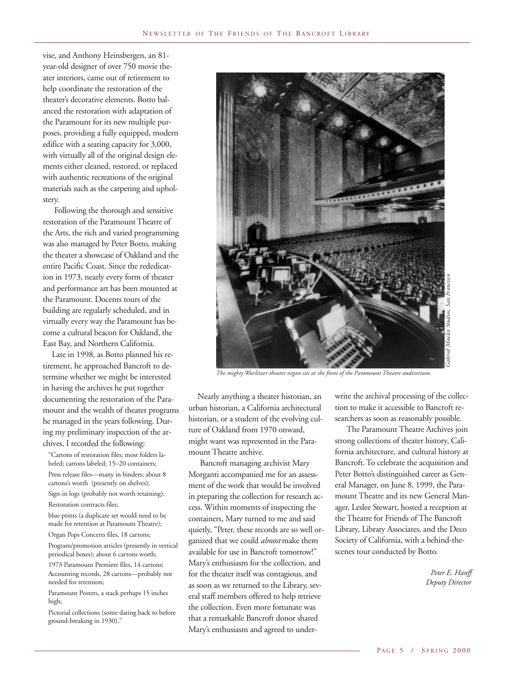vise, and Anthony Heinsbergen, an 81 year-old designer of over 750 movie theater interiors, came out of retirement to help coordinate the restoration of the theater's decorative elements. Botto balanced the restoration with adaptation of the Paramount for its new multiple purposes, providing a fully equipped, modern edifice with a seating capacity for 3,000, with virtually all of the original design elements either cleaned, restored, or replaced with authentic recreations of the original materials such as the carpeting and upholstery.

Following the thorough and sensitive restoration of the Paramount Theatre of the Arts, the rich and varied programming was also managed by Peter Botto, making the theater a showcase of Oakland and the entire Pacific Coast. Since the rededication in 1973, nearly every form of theater and performance art has been mounted at the Paramount. Docents tours of the building are regularly scheduled, and in virtually every way the Paramount has become a cultural beacon for Oakland, the East Bay, and Northern California.

Late in 1998, as Botto planned his retirement, he approached Bancroft to determine whether we might be interested in having the archives he put together documenting the restoration of the Paramount and the wealth of theater programs he managed in the years following. During my preliminary inspection of the archives, I recorded the following:

"Cartons of restoration files; most folders labeled; cartons labeled; 15–20 containers; Press release files—many in binders; about 8 cartons's worth (presently on shelves); Sign-in logs (probably not worth retaining); Restoration contracts files;

blue prints (a duplicate set would need to be made for retention at Paramount Theatre);

Organ Pops Concerts files, 18 cartons;

Program/promotion articles (presently in vertical periodical boxes); about 6 cartons worth;

1973 Paramount Premiere files, 14 cartons; Accounting records, 28 cartons—probably not needed for retention;

Paramount Posters, a stack perhaps 15 inches high;

Pictorial collections (some dating back to before ground-breaking in 1930)."



*The mighty Wurlitzer theater organ sits at the front of the Paramount Theatre auditorium.*

Nearly anything a theater historian, an urban historian, a California architectural historian, or a student of the evolving culture of Oakland from 1970 onward, might want was represented in the Paramount Theatre archive.

Bancroft managing archivist Mary Morganti accompanied me for an assessment of the work that would be involved in preparing the collection for research access. Within moments of inspecting the containers, Mary turned to me and said quietly, "Peter, these records are so well organized that we could *almost* make them available for use in Bancroft tomorrow!" Mary's enthusiasm for the collection, and for the theater itself was contagious, and as soon as we returned to the Library, several staff members offered to help retrieve the collection. Even more fortunate was that a remarkable Bancroft donor shared Mary's enthusiasm and agreed to underwrite the archival processing of the collection to make it accessible to Bancroft researchers as soon as reasonably possible.

The Paramount Theatre Archives join strong collections of theater history, California architecture, and cultural history at Bancroft. To celebrate the acquisition and Peter Botto's distinguished career as General Manager, on June 8, 1999, the Paramount Theatre and its new General Manager, Leslee Stewart, hosted a reception at the Theatre for Friends of The Bancroft Library, Library Associates, and the Deco Society of California, with a behind-thescenes tour conducted by Botto.

> *Peter E. Hanff Deputy Director*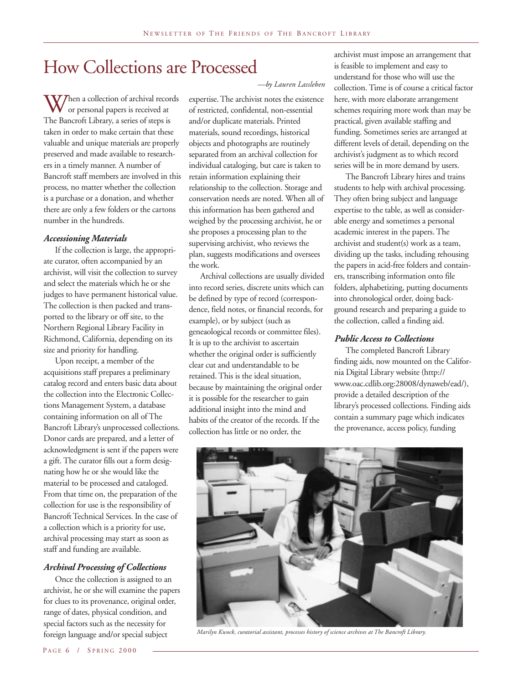## How Collections are Processed

When a collection of archival records<br>or personal papers is received at<br>The Bancroft Library, a series of steps is or personal papers is received at The Bancroft Library, a series of steps is taken in order to make certain that these valuable and unique materials are properly preserved and made available to researchers in a timely manner. A number of Bancroft staff members are involved in this process, no matter whether the collection is a purchase or a donation, and whether there are only a few folders or the cartons number in the hundreds.

### *Accessioning Materials*

If the collection is large, the appropriate curator, often accompanied by an archivist, will visit the collection to survey and select the materials which he or she judges to have permanent historical value. The collection is then packed and transported to the library or off site, to the Northern Regional Library Facility in Richmond, California, depending on its size and priority for handling.

Upon receipt, a member of the acquisitions staff prepares a preliminary catalog record and enters basic data about the collection into the Electronic Collections Management System, a database containing information on all of The Bancroft Library's unprocessed collections. Donor cards are prepared, and a letter of acknowledgment is sent if the papers were a gift. The curator fills out a form designating how he or she would like the material to be processed and cataloged. From that time on, the preparation of the collection for use is the responsibility of Bancroft Technical Services. In the case of a collection which is a priority for use, archival processing may start as soon as staff and funding are available.

## *Archival Processing of Collections*

Once the collection is assigned to an archivist, he or she will examine the papers for clues to its provenance, original order, range of dates, physical condition, and special factors such as the necessity for foreign language and/or special subject

expertise. The archivist notes the existence of restricted, confidental, non-essential and/or duplicate materials. Printed materials, sound recordings, historical objects and photographs are routinely separated from an archival collection for individual cataloging, but care is taken to retain information explaining their relationship to the collection. Storage and conservation needs are noted. When all of this information has been gathered and weighed by the processing archivist, he or she proposes a processing plan to the supervising archivist, who reviews the plan, suggests modifications and oversees the work.

Archival collections are usually divided into record series, discrete units which can be defined by type of record (correspondence, field notes, or financial records, for example), or by subject (such as geneaological records or committee files). It is up to the archivist to ascertain whether the original order is sufficiently clear cut and understandable to be retained. This is the ideal situation, because by maintaining the original order it is possible for the researcher to gain additional insight into the mind and habits of the creator of the records. If the collection has little or no order, the

archivist must impose an arrangement that is feasible to implement and easy to understand for those who will use the collection. Time is of course a critical factor here, with more elaborate arrangement schemes requiring more work than may be practical, given available staffing and funding. Sometimes series are arranged at different levels of detail, depending on the archivist's judgment as to which record series will be in more demand by users.

The Bancroft Library hires and trains students to help with archival processing. They often bring subject and language expertise to the table, as well as considerable energy and sometimes a personal academic interest in the papers. The archivist and student(s) work as a team, dividing up the tasks, including rehousing the papers in acid-free folders and containers, transcribing information onto file folders, alphabetizing, putting documents into chronological order, doing background research and preparing a guide to the collection, called a finding aid.

### *Public Access to Collections*

The completed Bancroft Library finding aids, now mounted on the California Digital Library website (http:// www.oac.cdlib.org:28008/dynaweb/ead/), provide a detailed description of the library's processed collections. Finding aids contain a summary page which indicates the provenance, access policy, funding



*Marilyn Kwock, curatorial assistant, processes history of science archives at The Bancroft Library.*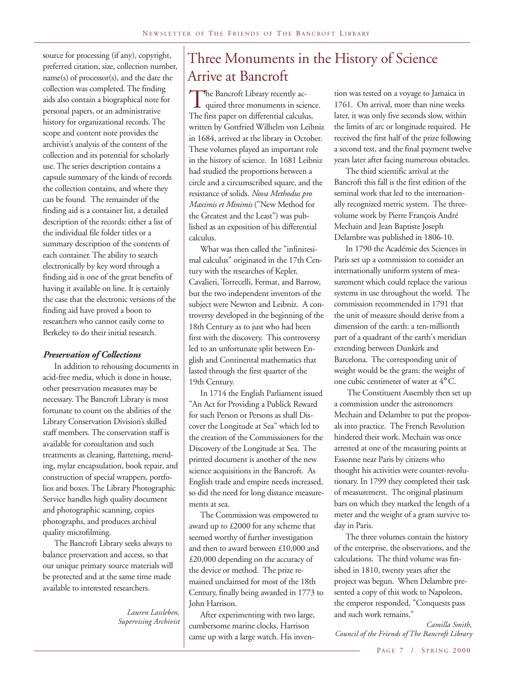source for processing (if any), copyright, preferred citation, size, collection number, name(s) of processor(s), and the date the collection was completed. The finding aids also contain a biographical note for personal papers, or an administrative history for organizational records. The scope and content note provides the archivist's analysis of the content of the collection and its potential for scholarly use. The series description contains a capsule summary of the kinds of records the collection contains, and where they can be found. The remainder of the finding aid is a container list, a detailed description of the records: either a list of the individual file folder titles or a summary description of the contents of each container. The ability to search electronically by key word through a finding aid is one of the great benefits of having it available on line. It is certainly the case that the electronic versions of the finding aid have proved a boon to researchers who cannot easily come to Berkeley to do their initial research.

## *Preservation of Collections*

In addition to rehousing documents in acid-free media, which is done in house, other preservation measures may be necessary. The Bancroft Library is most fortunate to count on the abilities of the Library Conservation Division's skilled staff members. The conservation staff is available for consultation and such treatments as cleaning, flattening, mending, mylar encapsulation, book repair, and construction of special wrappers, portfolios and boxes. The Library Photographic Service handles high quality document and photographic scanning, copies photographs, and produces archival quality microfilming.

The Bancroft Library seeks always to balance preservation and access, so that our unique primary source materials will be protected and at the same time made available to interested researchers.

> *Lauren Lassleben, Supervising Archivist*

## Three Monuments in the History of Science Arrive at Bancroft

The Bancroft Library recently ac-<br>quired three monuments in scie<br>The first paper on differential calculu quired three monuments in science. The first paper on differential calculus, written by Gottfried Wilhelm von Leibniz in 1684, arrived at the library in October. These volumes played an important role in the history of science. In 1681 Leibniz had studied the proportions between a circle and a circumscribed square, and the resistance of solids. *Nova Methodus pro Maximis et Minimis* ("New Method for the Greatest and the Least") was published as an exposition of his differential calculus.

What was then called the "infinitesimal calculus" originated in the 17th Century with the researches of Kepler, Cavalieri, Torrecelli, Fermat, and Barrow, but the two independent inventors of the subject were Newton and Leibniz. A controversy developed in the beginning of the 18th Century as to just who had been first with the discovery. This controversy led to an unfortunate split between English and Continental mathematics that lasted through the first quarter of the 19th Century.

In 1714 the English Parliament issued "An Act for Providing a Publick Reward for such Person or Persons as shall Discover the Longitude at Sea" which led to the creation of the Commissioners for the Discovery of the Longitude at Sea. The printed document is another of the new science acquisitions in the Bancroft. As English trade and empire needs increased, so did the need for long distance measurements at sea.

The Commission was empowered to award up to £2000 for any scheme that seemed worthy of further investigation and then to award between £10,000 and £20,000 depending on the accuracy of the device or method. The prize remained unclaimed for most of the 18th Century, finally being awarded in 1773 to John Harrison.

After experimenting with two large, cumbersome marine clocks, Harrison came up with a large watch. His inven-

tion was tested on a voyage to Jamaica in 1761. On arrival, more than nine weeks later, it was only five seconds slow, within the limits of arc or longitude required. He received the first half of the prize following a second test, and the final payment twelve years later after facing numerous obstacles.

The third scientific arrival at the Bancroft this fall is the first edition of the seminal work that led to the internationally recognized metric system. The threevolume work by Pierre François André Mechain and Jean Baptiste Joseph Delambre was published in 1806-10.

In 1790 the Académie des Sciences in Paris set up a commission to consider an internationally uniform system of measurement which could replace the various systems in use throughout the world. The commission recommended in 1791 that the unit of measure should derive from a dimension of the earth: a ten-millionth part of a quadrant of the earth's meridian extending between Dunkirk and Barcelona. The corresponding unit of weight would be the gram: the weight of one cubic centimeter of water at 4° C.

 The Constituent Assembly then set up a commission under the astronomers Mechain and Delambre to put the proposals into practice. The French Revolution hindered their work. Mechain was once arrested at one of the measuring points at Essonne near Paris by citizens who thought his activities were counter-revolutionary. In 1799 they completed their task of measurement. The original platinum bars on which they marked the length of a meter and the weight of a gram survive today in Paris.

The three volumes contain the history of the enterprise, the observations, and the calculations. The third volume was finished in 1810, twenty years after the project was begun. When Delambre presented a copy of this work to Napoleon, the emperor responded, "Conquests pass and such work remains."

*Camilla Smith, Council of the Friends of The Bancroft Library*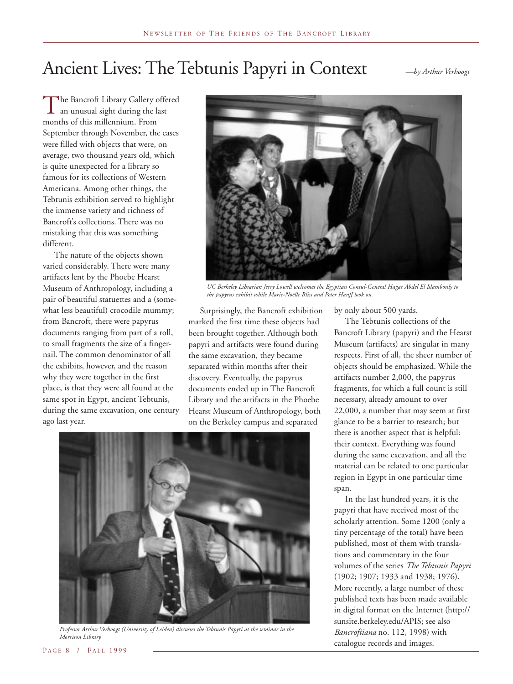## Ancient Lives: The Tebtunis Papyri in Context *—by Arthur Verhoogt*

The Bancroft Library Gallery offered<br>an unusual sight during the last<br>months of this millennium From an unusual sight during the last months of this millennium. From September through November, the cases were filled with objects that were, on average, two thousand years old, which is quite unexpected for a library so famous for its collections of Western Americana. Among other things, the Tebtunis exhibition served to highlight the immense variety and richness of Bancroft's collections. There was no mistaking that this was something different.

The nature of the objects shown varied considerably. There were many artifacts lent by the Phoebe Hearst Museum of Anthropology, including a pair of beautiful statuettes and a (somewhat less beautiful) crocodile mummy; from Bancroft, there were papyrus documents ranging from part of a roll, to small fragments the size of a fingernail. The common denominator of all the exhibits, however, and the reason why they were together in the first place, is that they were all found at the same spot in Egypt, ancient Tebtunis, during the same excavation, one century ago last year.



*UC Berkeley Librarian Jerry Lowell welcomes the Egyptian Consul-General Hagar Abdel El Islambouly to the papyrus exhibit while Marie-Noëlle Bliss and Peter Hanff look on.*

Surprisingly, the Bancroft exhibition marked the first time these objects had been brought together. Although both papyri and artifacts were found during the same excavation, they became separated within months after their discovery. Eventually, the papyrus documents ended up in The Bancroft Library and the artifacts in the Phoebe Hearst Museum of Anthropology, both on the Berkeley campus and separated



*Professor Arthur Verhoogt (University of Leiden) discusses the Tebtunis Papyri at the seminar in the Morrison Library.*

by only about 500 yards.

The Tebtunis collections of the Bancroft Library (papyri) and the Hearst Museum (artifacts) are singular in many respects. First of all, the sheer number of objects should be emphasized. While the artifacts number 2,000, the papyrus fragments, for which a full count is still necessary, already amount to over 22,000, a number that may seem at first glance to be a barrier to research; but there is another aspect that is helpful: their context. Everything was found during the same excavation, and all the material can be related to one particular region in Egypt in one particular time span.

In the last hundred years, it is the papyri that have received most of the scholarly attention. Some 1200 (only a tiny percentage of the total) have been published, most of them with translations and commentary in the four volumes of the series *The Tebtunis Papyri* (1902; 1907; 1933 and 1938; 1976). More recently, a large number of these published texts has been made available in digital format on the Internet (http:// sunsite.berkeley.edu/APIS; see also *Bancroftiana* no. 112, 1998) with catalogue records and images.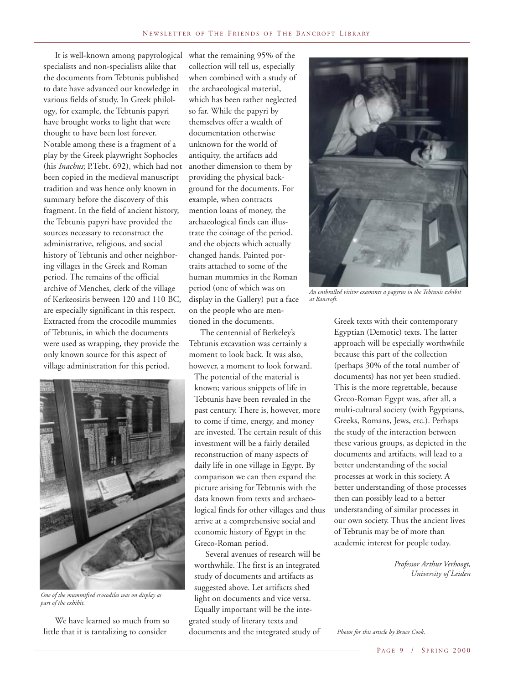It is well-known among papyrological what the remaining 95% of the specialists and non-specialists alike that the documents from Tebtunis published to date have advanced our knowledge in various fields of study. In Greek philology, for example, the Tebtunis papyri have brought works to light that were thought to have been lost forever. Notable among these is a fragment of a play by the Greek playwright Sophocles (his *Inachus*; P.Tebt. 692), which had not been copied in the medieval manuscript tradition and was hence only known in summary before the discovery of this fragment. In the field of ancient history, the Tebtunis papyri have provided the sources necessary to reconstruct the administrative, religious, and social history of Tebtunis and other neighboring villages in the Greek and Roman period. The remains of the official archive of Menches, clerk of the village of Kerkeosiris between 120 and 110 BC, are especially significant in this respect. Extracted from the crocodile mummies of Tebtunis, in which the documents were used as wrapping, they provide the only known source for this aspect of village administration for this period.



*One of the mummified crocodiles was on display as part of the exhibit.*

We have learned so much from so little that it is tantalizing to consider

collection will tell us, especially when combined with a study of the archaeological material, which has been rather neglected so far. While the papyri by themselves offer a wealth of documentation otherwise unknown for the world of antiquity, the artifacts add another dimension to them by providing the physical background for the documents. For example, when contracts mention loans of money, the archaeological finds can illustrate the coinage of the period, and the objects which actually changed hands. Painted portraits attached to some of the human mummies in the Roman period (one of which was on display in the Gallery) put a face on the people who are mentioned in the documents.

The centennial of Berkeley's Tebtunis excavation was certainly a moment to look back. It was also, however, a moment to look forward.

The potential of the material is known; various snippets of life in Tebtunis have been revealed in the past century. There is, however, more to come if time, energy, and money are invested. The certain result of this investment will be a fairly detailed reconstruction of many aspects of daily life in one village in Egypt. By comparison we can then expand the picture arising for Tebtunis with the data known from texts and archaeological finds for other villages and thus arrive at a comprehensive social and economic history of Egypt in the Greco-Roman period.

Several avenues of research will be worthwhile. The first is an integrated study of documents and artifacts as suggested above. Let artifacts shed light on documents and vice versa. Equally important will be the integrated study of literary texts and documents and the integrated study of



*An enthralled visitor examines a papyrus in the Tebtunis exhibit at Bancroft.*

Greek texts with their contemporary Egyptian (Demotic) texts. The latter approach will be especially worthwhile because this part of the collection (perhaps 30% of the total number of documents) has not yet been studied. This is the more regrettable, because Greco-Roman Egypt was, after all, a multi-cultural society (with Egyptians, Greeks, Romans, Jews, etc.). Perhaps the study of the interaction between these various groups, as depicted in the documents and artifacts, will lead to a better understanding of the social processes at work in this society. A better understanding of those processes then can possibly lead to a better understanding of similar processes in our own society. Thus the ancient lives of Tebtunis may be of more than academic interest for people today.

> *Professor Arthur Verhoogt, University of Leiden*

*Photos for this article by Bruce Cook.*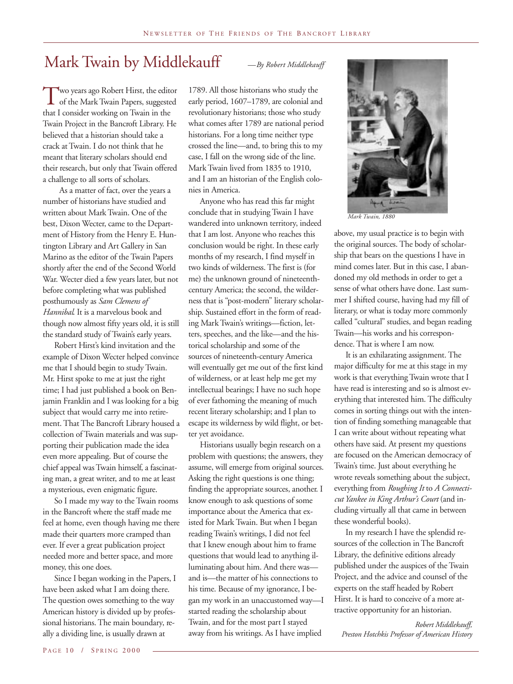## Mark Twain by Middlekauff

Two years ago Robert Hirst, the editor<br>of the Mark Twain Papers, suggested<br>that I consider working on Twain in the of the Mark Twain Papers, suggested that I consider working on Twain in the Twain Project in the Bancroft Library. He believed that a historian should take a crack at Twain. I do not think that he meant that literary scholars should end their research, but only that Twain offered a challenge to all sorts of scholars.

As a matter of fact, over the years a number of historians have studied and written about Mark Twain. One of the best, Dixon Wecter, came to the Department of History from the Henry E. Huntington Library and Art Gallery in San Marino as the editor of the Twain Papers shortly after the end of the Second World War. Wecter died a few years later, but not before completing what was published posthumously as *Sam Clemens of Hannibal*. It is a marvelous book and though now almost fifty years old, it is still the standard study of Twain's early years.

Robert Hirst's kind invitation and the example of Dixon Wecter helped convince me that I should begin to study Twain. Mr. Hirst spoke to me at just the right time; I had just published a book on Benjamin Franklin and I was looking for a big subject that would carry me into retirement. That The Bancroft Library housed a collection of Twain materials and was supporting their publication made the idea even more appealing. But of course the chief appeal was Twain himself, a fascinating man, a great writer, and to me at least a mysterious, even enigmatic figure.

So I made my way to the Twain rooms in the Bancroft where the staff made me feel at home, even though having me there made their quarters more cramped than ever. If ever a great publication project needed more and better space, and more money, this one does.

Since I began working in the Papers, I have been asked what I am doing there. The question owes something to the way American history is divided up by professional historians. The main boundary, really a dividing line, is usually drawn at

1789. All those historians who study the early period, 1607–1789, are colonial and revolutionary historians; those who study what comes after 1789 are national period historians. For a long time neither type crossed the line—and, to bring this to my case, I fall on the wrong side of the line. Mark Twain lived from 1835 to 1910, and I am an historian of the English colonies in America.

Anyone who has read this far might conclude that in studying Twain I have wandered into unknown territory, indeed that I am lost. Anyone who reaches this conclusion would be right. In these early months of my research, I find myself in two kinds of wilderness. The first is (for me) the unknown ground of nineteenthcentury America; the second, the wilderness that is "post-modern" literary scholarship. Sustained effort in the form of reading Mark Twain's writings—fiction, letters, speeches, and the like—and the historical scholarship and some of the sources of nineteenth-century America will eventually get me out of the first kind of wilderness, or at least help me get my intellectual bearings; I have no such hope of ever fathoming the meaning of much recent literary scholarship; and I plan to escape its wilderness by wild flight, or better yet avoidance.

Historians usually begin research on a problem with questions; the answers, they assume, will emerge from original sources. Asking the right questions is one thing; finding the appropriate sources, another. I know enough to ask questions of some importance about the America that existed for Mark Twain. But when I began reading Twain's writings, I did not feel that I knew enough about him to frame questions that would lead to anything illuminating about him. And there was and is—the matter of his connections to his time. Because of my ignorance, I began my work in an unaccustomed way—I started reading the scholarship about Twain, and for the most part I stayed away from his writings. As I have implied



*Mark Twain, 1880*

above, my usual practice is to begin with the original sources. The body of scholarship that bears on the questions I have in mind comes later. But in this case, I abandoned my old methods in order to get a sense of what others have done. Last summer I shifted course, having had my fill of literary, or what is today more commonly called "cultural" studies, and began reading Twain—his works and his correspondence. That is where I am now.

It is an exhilarating assignment. The major difficulty for me at this stage in my work is that everything Twain wrote that I have read is interesting and so is almost everything that interested him. The difficulty comes in sorting things out with the intention of finding something manageable that I can write about without repeating what others have said. At present my questions are focused on the American democracy of Twain's time. Just about everything he wrote reveals something about the subject, everything from *Roughing It* to *A Connecticut Yankee in King Arthur's Court* (and including virtually all that came in between these wonderful books).

In my research I have the splendid resources of the collection in The Bancroft Library, the definitive editions already published under the auspices of the Twain Project, and the advice and counsel of the experts on the staff headed by Robert Hirst. It is hard to conceive of a more attractive opportunity for an historian.

*Robert Middlekauff, Preston Hotchkis Professor of American History*

#### *—By Robert Middlekauff*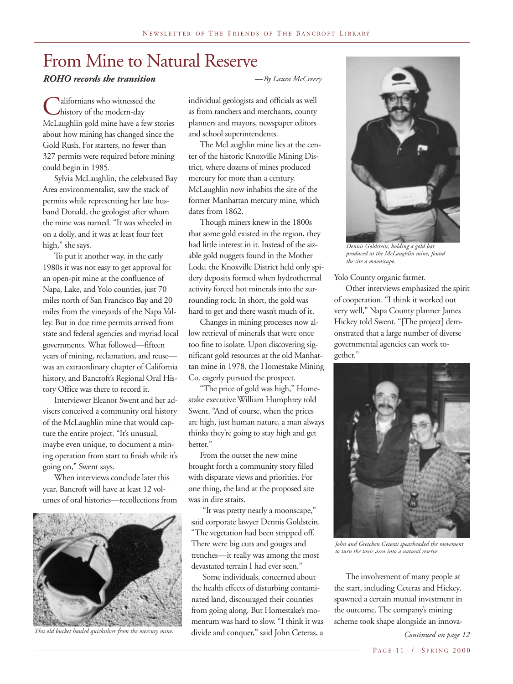## From Mine to Natural Reserve

## *ROHO records the transition*

Californians who witnessed the<br>Chistory of the modern-day<br>McI aughlin gold mine have a few history of the modern-day McLaughlin gold mine have a few stories about how mining has changed since the Gold Rush. For starters, no fewer than 327 permits were required before mining could begin in 1985.

Sylvia McLaughlin, the celebrated Bay Area environmentalist, saw the stack of permits while representing her late husband Donald, the geologist after whom the mine was named. "It was wheeled in on a dolly, and it was at least four feet high," she says.

To put it another way, in the early 1980s it was not easy to get approval for an open-pit mine at the confluence of Napa, Lake, and Yolo counties, just 70 miles north of San Francisco Bay and 20 miles from the vineyards of the Napa Valley. But in due time permits arrived from state and federal agencies and myriad local governments. What followed—fifteen years of mining, reclamation, and reuse was an extraordinary chapter of California history, and Bancroft's Regional Oral History Office was there to record it.

Interviewer Eleanor Swent and her advisers conceived a community oral history of the McLaughlin mine that would capture the entire project. "It's unusual, maybe even unique, to document a mining operation from start to finish while it's going on," Swent says.

When interviews conclude later this year, Bancroft will have at least 12 volumes of oral histories—recollections from



*This old bucket hauled quicksilver from the mercury mine.*

*—By Laura McCreery*

individual geologists and officials as well as from ranchers and merchants, county planners and mayors, newspaper editors and school superintendents.

The McLaughlin mine lies at the center of the historic Knoxville Mining District, where dozens of mines produced mercury for more than a century. McLaughlin now inhabits the site of the former Manhattan mercury mine, which dates from 1862.

Though miners knew in the 1800s that some gold existed in the region, they had little interest in it. Instead of the sizable gold nuggets found in the Mother Lode, the Knoxville District held only spidery deposits formed when hydrothermal activity forced hot minerals into the surrounding rock. In short, the gold was hard to get and there wasn't much of it.

Changes in mining processes now allow retrieval of minerals that were once too fine to isolate. Upon discovering significant gold resources at the old Manhattan mine in 1978, the Homestake Mining Co. eagerly pursued the prospect.

"The price of gold was high," Homestake executive William Humphrey told Swent. "And of course, when the prices are high, just human nature, a man always thinks they're going to stay high and get better."

From the outset the new mine brought forth a community story filled with disparate views and priorities. For one thing, the land at the proposed site was in dire straits.

"It was pretty nearly a moonscape," said corporate lawyer Dennis Goldstein. "The vegetation had been stripped off. There were big cuts and gouges and trenches—it really was among the most devastated terrain I had ever seen."

Some individuals, concerned about the health effects of disturbing contaminated land, discouraged their counties from going along. But Homestake's momentum was hard to slow. "I think it was divide and conquer," said John Ceteras, a



*Dennis Goldstein, holding a gold bar produced at the McLaughlin mine, found the site a moonscape.*

Yolo County organic farmer.

Other interviews emphasized the spirit of cooperation. "I think it worked out very well," Napa County planner James Hickey told Swent. "[The project] demonstrated that a large number of diverse governmental agencies can work together."



*John and Gretchen Ceteras spearheaded the movement to turn the toxic area into a natural reserve.*

The involvement of many people at the start, including Ceteras and Hickey, spawned a certain mutual investment in the outcome. The company's mining scheme took shape alongside an innova-

*Continued on page 12*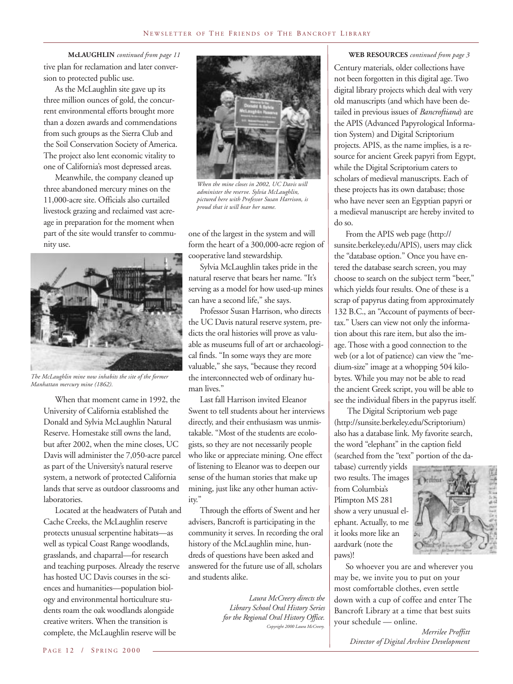tive plan for reclamation and later conversion to protected public use. **McLAUGHLIN** *continued from page 11*

As the McLaughlin site gave up its three million ounces of gold, the concurrent environmental efforts brought more than a dozen awards and commendations from such groups as the Sierra Club and the Soil Conservation Society of America. The project also lent economic vitality to one of California's most depressed areas.

Meanwhile, the company cleaned up three abandoned mercury mines on the 11,000-acre site. Officials also curtailed livestock grazing and reclaimed vast acreage in preparation for the moment when part of the site would transfer to community use.



*The McLaughlin mine now inhabits the site of the former Manhattan mercury mine (1862).*

When that moment came in 1992, the University of California established the Donald and Sylvia McLaughlin Natural Reserve. Homestake still owns the land, but after 2002, when the mine closes, UC Davis will administer the 7,050-acre parcel as part of the University's natural reserve system, a network of protected California lands that serve as outdoor classrooms and laboratories.

Located at the headwaters of Putah and Cache Creeks, the McLaughlin reserve protects unusual serpentine habitats—as well as typical Coast Range woodlands, grasslands, and chaparral—for research and teaching purposes. Already the reserve has hosted UC Davis courses in the sciences and humanities—population biology and environmental horticulture students roam the oak woodlands alongside creative writers. When the transition is complete, the McLaughlin reserve will be



*When the mine closes in 2002, UC Davis will administer the reserve. Sylvia McLaughlin, pictured here with Professor Susan Harrison, is proud that it will bear her name.*

one of the largest in the system and will form the heart of a 300,000-acre region of cooperative land stewardship.

Sylvia McLaughlin takes pride in the natural reserve that bears her name. "It's serving as a model for how used-up mines can have a second life," she says.

Professor Susan Harrison, who directs the UC Davis natural reserve system, predicts the oral histories will prove as valuable as museums full of art or archaeological finds. "In some ways they are more valuable," she says, "because they record the interconnected web of ordinary human lives."

Last fall Harrison invited Eleanor Swent to tell students about her interviews directly, and their enthusiasm was unmistakable. "Most of the students are ecologists, so they are not necessarily people who like or appreciate mining. One effect of listening to Eleanor was to deepen our sense of the human stories that make up mining, just like any other human activity."

Through the efforts of Swent and her advisers, Bancroft is participating in the community it serves. In recording the oral history of the McLaughlin mine, hundreds of questions have been asked and answered for the future use of all, scholars and students alike.

> *Laura McCreery directs the Library School Oral History Series for the Regional Oral History Office. Copyright 2000 Laura McCreery.*

#### **WEB RESOURCES** *continued from page 3*

Century materials, older collections have not been forgotten in this digital age. Two digital library projects which deal with very old manuscripts (and which have been detailed in previous issues of *Bancroftiana*) are the APIS (Advanced Papyrological Information System) and Digital Scriptorium projects. APIS, as the name implies, is a resource for ancient Greek papyri from Egypt, while the Digital Scriptorium caters to scholars of medieval manuscripts. Each of these projects has its own database; those who have never seen an Egyptian papyri or a medieval manuscript are hereby invited to do so.

From the APIS web page (http:// sunsite.berkeley.edu/APIS), users may click the "database option." Once you have entered the database search screen, you may choose to search on the subject term "beer," which yields four results. One of these is a scrap of papyrus dating from approximately 132 B.C., an "Account of payments of beertax." Users can view not only the information about this rare item, but also the image. Those with a good connection to the web (or a lot of patience) can view the "medium-size" image at a whopping 504 kilobytes. While you may not be able to read the ancient Greek script, you will be able to see the individual fibers in the papyrus itself.

 The Digital Scriptorium web page (http://sunsite.berkeley.edu/Scriptorium) also has a database link. My favorite search, the word "elephant" in the caption field (searched from the "text" portion of the da-

tabase) currently yields two results. The images from Columbia's Plimpton MS 281 show a very unusual elephant. Actually, to me it looks more like an aardvark (note the paws)!



So whoever you are and wherever you may be, we invite you to put on your most comfortable clothes, even settle down with a cup of coffee and enter The Bancroft Library at a time that best suits your schedule — online.

> *Merrilee Proffitt Director of Digital Archive Development*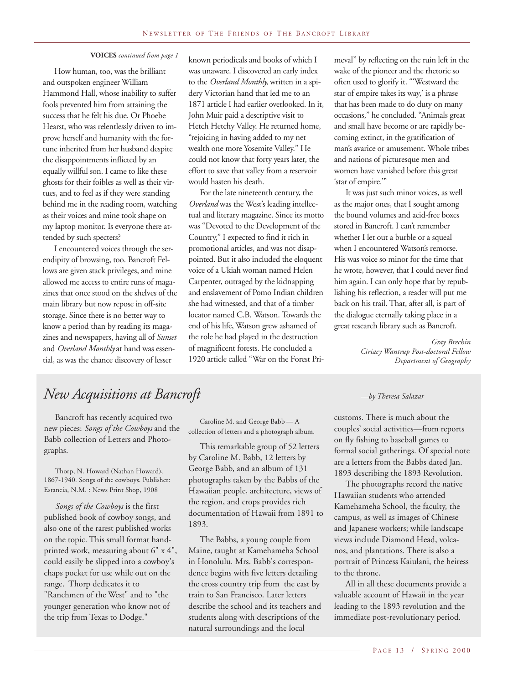How human, too, was the brilliant and outspoken engineer William Hammond Hall, whose inability to suffer fools prevented him from attaining the success that he felt his due. Or Phoebe Hearst, who was relentlessly driven to improve herself and humanity with the fortune inherited from her husband despite the disappointments inflicted by an equally willful son. I came to like these ghosts for their foibles as well as their virtues, and to feel as if they were standing behind me in the reading room, watching as their voices and mine took shape on my laptop monitor. Is everyone there attended by such specters?

I encountered voices through the serendipity of browsing, too. Bancroft Fellows are given stack privileges, and mine allowed me access to entire runs of magazines that once stood on the shelves of the main library but now repose in off-site storage. Since there is no better way to know a period than by reading its magazines and newspapers, having all of *Sunset* and *Overland Monthly* at hand was essential, as was the chance discovery of lesser

**VOICES** *continued from page 1* known periodicals and books of which I was unaware. I discovered an early index to the *Overland Monthly,* written in a spidery Victorian hand that led me to an 1871 article I had earlier overlooked. In it, John Muir paid a descriptive visit to Hetch Hetchy Valley. He returned home, "rejoicing in having added to my net wealth one more Yosemite Valley." He could not know that forty years later, the effort to save that valley from a reservoir would hasten his death.

> For the late nineteenth century, the *Overland* was the West's leading intellectual and literary magazine. Since its motto was "Devoted to the Development of the Country," I expected to find it rich in promotional articles, and was not disappointed. But it also included the eloquent voice of a Ukiah woman named Helen Carpenter, outraged by the kidnapping and enslavement of Pomo Indian children she had witnessed, and that of a timber locator named C.B. Watson. Towards the end of his life, Watson grew ashamed of the role he had played in the destruction of magnificent forests. He concluded a 1920 article called "War on the Forest Pri-

meval" by reflecting on the ruin left in the wake of the pioneer and the rhetoric so often used to glorify it. "'Westward the star of empire takes its way,' is a phrase that has been made to do duty on many occasions," he concluded. "Animals great and small have become or are rapidly becoming extinct, in the gratification of man's avarice or amusement. Whole tribes and nations of picturesque men and women have vanished before this great 'star of empire.'"

It was just such minor voices, as well as the major ones, that I sought among the bound volumes and acid-free boxes stored in Bancroft. I can't remember whether I let out a burble or a squeal when I encountered Watson's remorse. His was voice so minor for the time that he wrote, however, that I could never find him again. I can only hope that by republishing his reflection, a reader will put me back on his trail. That, after all, is part of the dialogue eternally taking place in a great research library such as Bancroft.

> *Gray Brechin Ciriacy Wantrup Post-doctoral Fellow Department of Geography*

## *New Acquisitions at Bancroft —by Theresa Salazar*

Bancroft has recently acquired two new pieces: *Songs of the Cowboys* and the Babb collection of Letters and Photographs.

Thorp, N. Howard (Nathan Howard), 1867-1940. Songs of the cowboys. Publisher: Estancia, N.M. : News Print Shop, 1908

*Songs of the Cowboys* is the first published book of cowboy songs, and also one of the rarest published works on the topic. This small format handprinted work, measuring about 6" x 4", could easily be slipped into a cowboy's chaps pocket for use while out on the range. Thorp dedicates it to "Ranchmen of the West" and to "the younger generation who know not of the trip from Texas to Dodge."

Caroline M. and George Babb — A collection of letters and a photograph album.

This remarkable group of 52 letters by Caroline M. Babb, 12 letters by George Babb, and an album of 131 photographs taken by the Babbs of the Hawaiian people, architecture, views of the region, and crops provides rich documentation of Hawaii from 1891 to 1893.

The Babbs, a young couple from Maine, taught at Kamehameha School in Honolulu. Mrs. Babb's correspondence begins with five letters detailing the cross country trip from the east by train to San Francisco. Later letters describe the school and its teachers and students along with descriptions of the natural surroundings and the local

customs. There is much about the couples' social activities—from reports on fly fishing to baseball games to formal social gatherings. Of special note are a letters from the Babbs dated Jan. 1893 describing the 1893 Revolution.

The photographs record the native Hawaiian students who attended Kamehameha School, the faculty, the campus, as well as images of Chinese and Japanese workers; while landscape views include Diamond Head, volcanos, and plantations. There is also a portrait of Princess Kaiulani, the heiress to the throne.

All in all these documents provide a valuable account of Hawaii in the year leading to the 1893 revolution and the immediate post-revolutionary period.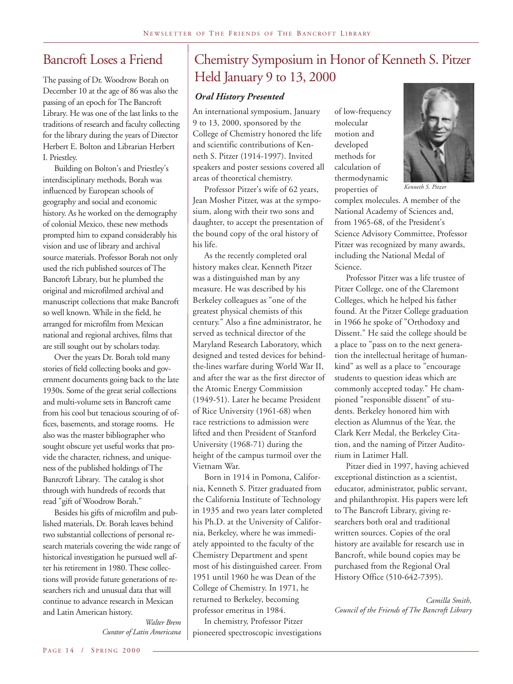## Bancroft Loses a Friend

The passing of Dr. Woodrow Borah on December 10 at the age of 86 was also the passing of an epoch for The Bancroft Library. He was one of the last links to the traditions of research and faculty collecting for the library during the years of Director Herbert E. Bolton and Librarian Herbert I. Priestley.

Building on Bolton's and Priestley's interdisciplinary methods, Borah was influenced by European schools of geography and social and economic history. As he worked on the demography of colonial Mexico, these new methods prompted him to expand considerably his vision and use of library and archival source materials. Professor Borah not only used the rich published sources of The Bancroft Library, but he plumbed the original and microfilmed archival and manuscript collections that make Bancroft so well known. While in the field, he arranged for microfilm from Mexican national and regional archives, films that are still sought out by scholars today.

Over the years Dr. Borah told many stories of field collecting books and government documents going back to the late 1930s. Some of the great serial collections and multi-volume sets in Bancroft came from his cool but tenacious scouring of offices, basements, and storage rooms. He also was the master bibliographer who sought obscure yet useful works that provide the character, richness, and uniqueness of the published holdings of The Banrcroft Library. The catalog is shot through with hundreds of records that read "gift of Woodrow Borah."

Besides his gifts of microfilm and published materials, Dr. Borah leaves behind two substantial collections of personal research materials covering the wide range of historical investigation he pursued well after his retirement in 1980. These collections will provide future generations of researchers rich and unusual data that will continue to advance research in Mexican and Latin American history.

> *Walter Brem Curator of Latin Americana*

## Chemistry Symposium in Honor of Kenneth S. Pitzer Held January 9 to 13, 2000

## *Oral History Presented*

An international symposium, January 9 to 13, 2000, sponsored by the College of Chemistry honored the life and scientific contributions of Kenneth S. Pitzer (1914-1997). Invited speakers and poster sessions covered all areas of theoretical chemistry.

Professor Pitzer's wife of 62 years, Jean Mosher Pitzer, was at the symposium, along with their two sons and daughter, to accept the presentation of the bound copy of the oral history of his life.

As the recently completed oral history makes clear, Kenneth Pitzer was a distinguished man by any measure. He was described by his Berkeley colleagues as "one of the greatest physical chemists of this century." Also a fine administrator, he served as technical director of the Maryland Research Laboratory, which designed and tested devices for behindthe-lines warfare during World War II, and after the war as the first director of the Atomic Energy Commission (1949-51). Later he became President of Rice University (1961-68) when race restrictions to admission were lifted and then President of Stanford University (1968-71) during the height of the campus turmoil over the Vietnam War.

Born in 1914 in Pomona, California, Kenneth S. Pitzer graduated from the California Institute of Technology in 1935 and two years later completed his Ph.D. at the University of California, Berkeley, where he was immediately appointed to the faculty of the Chemistry Department and spent most of his distinguished career. From 1951 until 1960 he was Dean of the College of Chemistry. In 1971, he returned to Berkeley, becoming professor emeritus in 1984.

In chemistry, Professor Pitzer pioneered spectroscopic investigations

of low-frequency molecular motion and developed methods for calculation of thermodynamic properties of



*Kenneth S. Pitzer*

complex molecules. A member of the National Academy of Sciences and, from 1965-68, of the President's Science Advisory Committee, Professor Pitzer was recognized by many awards, including the National Medal of Science.

Professor Pitzer was a life trustee of Pitzer College, one of the Claremont Colleges, which he helped his father found. At the Pitzer College graduation in 1966 he spoke of "Orthodoxy and Dissent." He said the college should be a place to "pass on to the next generation the intellectual heritage of humankind" as well as a place to "encourage students to question ideas which are commonly accepted today." He championed "responsible dissent" of students. Berkeley honored him with election as Alumnus of the Year, the Clark Kerr Medal, the Berkeley Citation, and the naming of Pitzer Auditorium in Latimer Hall.

Pitzer died in 1997, having achieved exceptional distinction as a scientist, educator, administrator, public servant, and philanthropist. His papers were left to The Bancroft Library, giving researchers both oral and traditional written sources. Copies of the oral history are available for research use in Bancroft, while bound copies may be purchased from the Regional Oral History Office (510-642-7395).

*Camilla Smith, Council of the Friends of The Bancroft Library*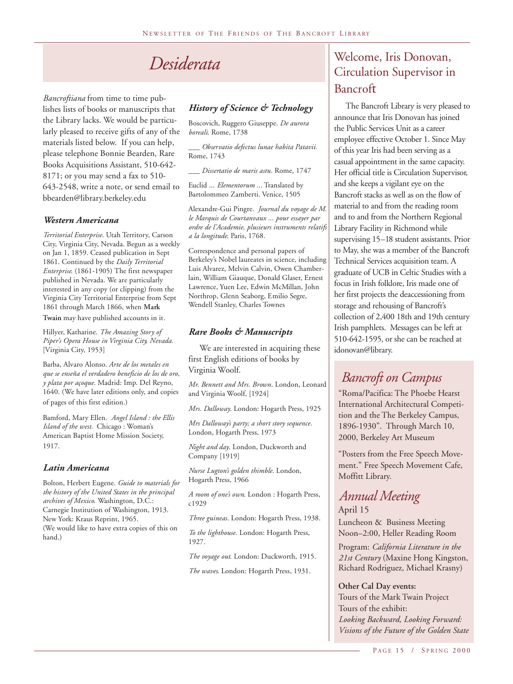## *Desiderata*

*Bancroftiana* from time to time publishes lists of books or manuscripts that the Library lacks. We would be particularly pleased to receive gifts of any of the materials listed below. If you can help, please telephone Bonnie Bearden, Rare Books Acquisitions Assistant, 510-642- 8171; or you may send a fax to 510- 643-2548, write a note, or send email to bbearden@library.berkeley.edu

## *Western Americana*

*Territorial Enterprise*. Utah Territory, Carson City, Virginia City, Nevada. Begun as a weekly on Jan 1, 1859. Ceased publication in Sept 1861. Continued by the *Daily Territorial Enterprise*. (1861-1905) The first newspaper published in Nevada. We are particularly interested in any copy (or clipping) from the Virginia City Territorial Enterprise from Sept 1861 through March 1866, when **Mark Twain** may have published accounts in it.

Hillyer, Katharine. *The Amazing Story of Piper's Opera House in Virginia City, Nevada.* [Virginia City, 1953]

Barba, Alvaro Alonso. *Arte de los metales en que se enseña el verdadero beneficio de los de oro, y plata por açoque.* Madrid: Imp. Del Reyno, 1640. (We have later editions only, and copies of pages of this first edition.)

Bamford, Mary Ellen. *Angel Island : the Ellis Island of the west.* Chicago : Woman's American Baptist Home Mission Society, 1917.

## *Latin Americana*

Bolton, Herbert Eugene. *Guide to materials for the history of the United States in the principal archives of Mexico*. Washington, D.C.: Carnegie Institution of Washington, 1913. New York: Kraus Reprint, 1965. (We would like to have extra copies of this on hand.)

## *History of Science & Technology*

Boscovich, Ruggero Giuseppe. *De aurora boreali*. Rome, 1738

*\_\_\_ Observatio defectus lunae habita Patavii.* Rome, 1743

*\_\_\_ Dissertatio de maris astu*. Rome, 1747

Euclid ... *Elementorum* ... Translated by Bartolommeo Zamberti. Venice, 1505

Alexandre-Gui Pingre. *Journal du voyage de M. le Marquis de Courtanvaux ... pour essayer par ordre de l'Academie, plusieurs instruments relatifs a la longitude*. Paris, 1768.

Correspondence and personal papers of Berkeley's Nobel laureates in science, including Luis Alvarez, Melvin Calvin, Owen Chamberlain, William Giauque, Donald Glaser, Ernest Lawrence, Yuen Lee, Edwin McMillan, John Northrop, Glenn Seaborg, Emilio Segre, Wendell Stanley, Charles Townes

## *Rare Books & Manuscripts*

We are interested in acquiring these first English editions of books by Virginia Woolf.

*Mr. Bennett and Mrs. Brown*. London, Leonard and Virginia Woolf, [1924]

*Mrs. Dalloway*. London: Hogarth Press, 1925

*Mrs Dalloway's party; a short story sequence*. London, Hogarth Press, 1973

*Night and day*. London, Duckworth and Company [1919]

*Nurse Lugton's golden thimble*. London, Hogarth Press, 1966

*A room of one's own*. London : Hogarth Press, c1929

*Three guineas*. London: Hogarth Press, 1938.

*To the lighthouse*. London: Hogarth Press, 1927.

*The voyage out*. London: Duckworth, 1915.

*The waves*. London: Hogarth Press, 1931.

## Welcome, Iris Donovan, Circulation Supervisor in Bancroft

The Bancroft Library is very pleased to announce that Iris Donovan has joined the Public Services Unit as a career employee effective October 1. Since May of this year Iris had been serving as a casual appointment in the same capacity. Her official title is Circulation Supervisor, and she keeps a vigilant eye on the Bancroft stacks as well as on the flow of material to and from the reading room and to and from the Northern Regional Library Facility in Richmond while supervising 15–18 student assistants. Prior to May, she was a member of the Bancroft Technical Services acquisition team. A graduate of UCB in Celtic Studies with a focus in Irish folklore, Iris made one of her first projects the deaccessioning from storage and rehousing of Bancroft's collection of 2,400 18th and 19th century Irish pamphlets. Messages can be left at 510-642-1595, or she can be reached at idonovan@library.

## *Bancroft on Campus*

"Roma/Pacifica: The Phoebe Hearst International Architectural Competition and the The Berkeley Campus, 1896-1930". Through March 10, 2000, Berkeley Art Museum

"Posters from the Free Speech Movement." Free Speech Movement Cafe, Moffitt Library.

## April 15 *Annual Meeting*

Luncheon & Business Meeting Noon–2:00, Heller Reading Room

Program: *California Literature in the 21st Century* (Maxine Hong Kingston, Richard Rodriguez, Michael Krasny)

**Other Cal Day events:** Tours of the Mark Twain Project Tours of the exhibit: *Looking Backward, Looking Forward: Visions of the Future of the Golden State*